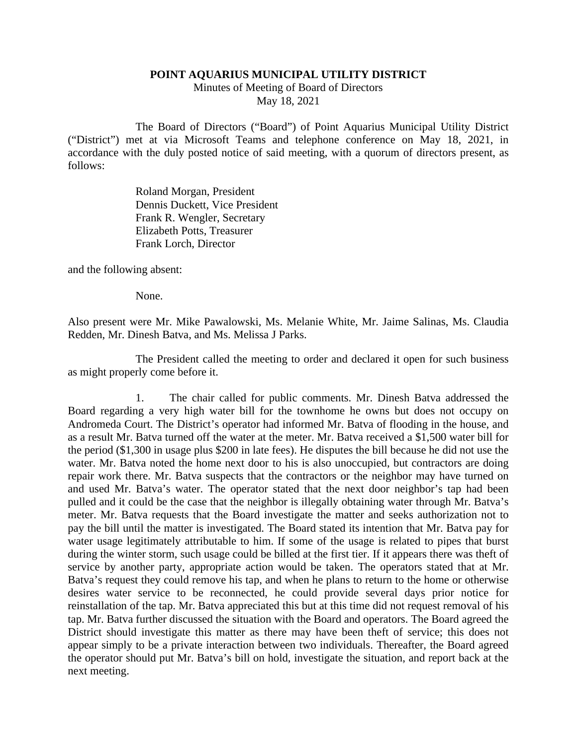## **POINT AQUARIUS MUNICIPAL UTILITY DISTRICT**

Minutes of Meeting of Board of Directors May 18, 2021

The Board of Directors ("Board") of Point Aquarius Municipal Utility District ("District") met at via Microsoft Teams and telephone conference on May 18, 2021, in accordance with the duly posted notice of said meeting, with a quorum of directors present, as follows:

> Roland Morgan, President Dennis Duckett, Vice President Frank R. Wengler, Secretary Elizabeth Potts, Treasurer Frank Lorch, Director

and the following absent:

None.

Also present were Mr. Mike Pawalowski, Ms. Melanie White, Mr. Jaime Salinas, Ms. Claudia Redden, Mr. Dinesh Batva, and Ms. Melissa J Parks.

The President called the meeting to order and declared it open for such business as might properly come before it.

1. The chair called for public comments. Mr. Dinesh Batva addressed the Board regarding a very high water bill for the townhome he owns but does not occupy on Andromeda Court. The District's operator had informed Mr. Batva of flooding in the house, and as a result Mr. Batva turned off the water at the meter. Mr. Batva received a \$1,500 water bill for the period (\$1,300 in usage plus \$200 in late fees). He disputes the bill because he did not use the water. Mr. Batva noted the home next door to his is also unoccupied, but contractors are doing repair work there. Mr. Batva suspects that the contractors or the neighbor may have turned on and used Mr. Batva's water. The operator stated that the next door neighbor's tap had been pulled and it could be the case that the neighbor is illegally obtaining water through Mr. Batva's meter. Mr. Batva requests that the Board investigate the matter and seeks authorization not to pay the bill until the matter is investigated. The Board stated its intention that Mr. Batva pay for water usage legitimately attributable to him. If some of the usage is related to pipes that burst during the winter storm, such usage could be billed at the first tier. If it appears there was theft of service by another party, appropriate action would be taken. The operators stated that at Mr. Batva's request they could remove his tap, and when he plans to return to the home or otherwise desires water service to be reconnected, he could provide several days prior notice for reinstallation of the tap. Mr. Batva appreciated this but at this time did not request removal of his tap. Mr. Batva further discussed the situation with the Board and operators. The Board agreed the District should investigate this matter as there may have been theft of service; this does not appear simply to be a private interaction between two individuals. Thereafter, the Board agreed the operator should put Mr. Batva's bill on hold, investigate the situation, and report back at the next meeting.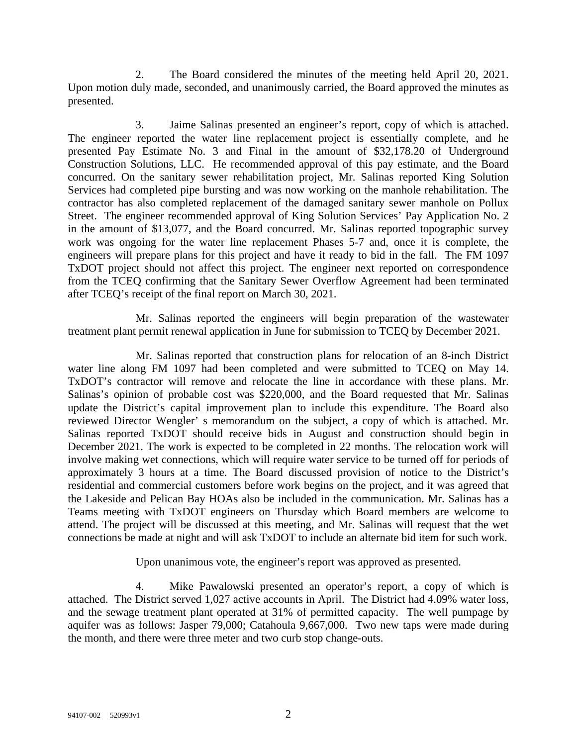2. The Board considered the minutes of the meeting held April 20, 2021. Upon motion duly made, seconded, and unanimously carried, the Board approved the minutes as presented.

3. Jaime Salinas presented an engineer's report, copy of which is attached. The engineer reported the water line replacement project is essentially complete, and he presented Pay Estimate No. 3 and Final in the amount of \$32,178.20 of Underground Construction Solutions, LLC. He recommended approval of this pay estimate, and the Board concurred. On the sanitary sewer rehabilitation project, Mr. Salinas reported King Solution Services had completed pipe bursting and was now working on the manhole rehabilitation. The contractor has also completed replacement of the damaged sanitary sewer manhole on Pollux Street. The engineer recommended approval of King Solution Services' Pay Application No. 2 in the amount of \$13,077, and the Board concurred. Mr. Salinas reported topographic survey work was ongoing for the water line replacement Phases 5-7 and, once it is complete, the engineers will prepare plans for this project and have it ready to bid in the fall. The FM 1097 TxDOT project should not affect this project. The engineer next reported on correspondence from the TCEQ confirming that the Sanitary Sewer Overflow Agreement had been terminated after TCEQ's receipt of the final report on March 30, 2021.

Mr. Salinas reported the engineers will begin preparation of the wastewater treatment plant permit renewal application in June for submission to TCEQ by December 2021.

Mr. Salinas reported that construction plans for relocation of an 8-inch District water line along FM 1097 had been completed and were submitted to TCEQ on May 14. TxDOT's contractor will remove and relocate the line in accordance with these plans. Mr. Salinas's opinion of probable cost was \$220,000, and the Board requested that Mr. Salinas update the District's capital improvement plan to include this expenditure. The Board also reviewed Director Wengler' s memorandum on the subject, a copy of which is attached. Mr. Salinas reported TxDOT should receive bids in August and construction should begin in December 2021. The work is expected to be completed in 22 months. The relocation work will involve making wet connections, which will require water service to be turned off for periods of approximately 3 hours at a time. The Board discussed provision of notice to the District's residential and commercial customers before work begins on the project, and it was agreed that the Lakeside and Pelican Bay HOAs also be included in the communication. Mr. Salinas has a Teams meeting with TxDOT engineers on Thursday which Board members are welcome to attend. The project will be discussed at this meeting, and Mr. Salinas will request that the wet connections be made at night and will ask TxDOT to include an alternate bid item for such work.

Upon unanimous vote, the engineer's report was approved as presented.

4. Mike Pawalowski presented an operator's report, a copy of which is attached. The District served 1,027 active accounts in April. The District had 4.09% water loss, and the sewage treatment plant operated at 31% of permitted capacity. The well pumpage by aquifer was as follows: Jasper 79,000; Catahoula 9,667,000. Two new taps were made during the month, and there were three meter and two curb stop change-outs.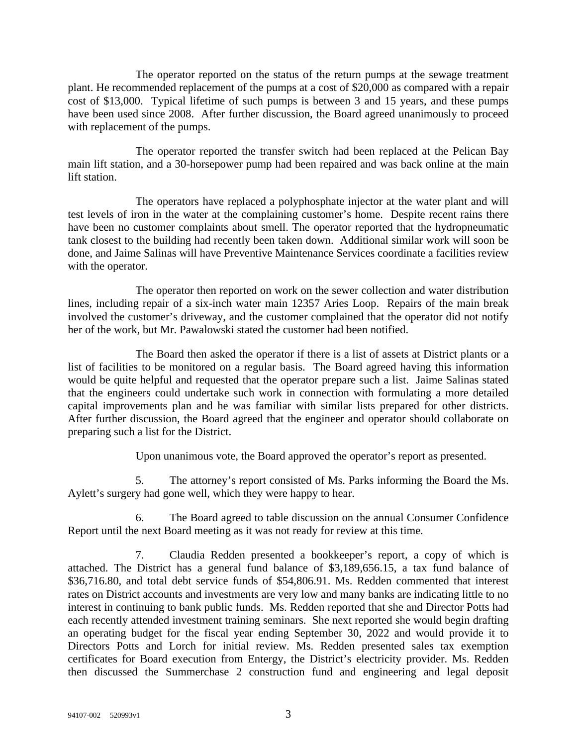The operator reported on the status of the return pumps at the sewage treatment plant. He recommended replacement of the pumps at a cost of \$20,000 as compared with a repair cost of \$13,000. Typical lifetime of such pumps is between 3 and 15 years, and these pumps have been used since 2008. After further discussion, the Board agreed unanimously to proceed with replacement of the pumps.

The operator reported the transfer switch had been replaced at the Pelican Bay main lift station, and a 30-horsepower pump had been repaired and was back online at the main lift station.

The operators have replaced a polyphosphate injector at the water plant and will test levels of iron in the water at the complaining customer's home. Despite recent rains there have been no customer complaints about smell. The operator reported that the hydropneumatic tank closest to the building had recently been taken down. Additional similar work will soon be done, and Jaime Salinas will have Preventive Maintenance Services coordinate a facilities review with the operator.

The operator then reported on work on the sewer collection and water distribution lines, including repair of a six-inch water main 12357 Aries Loop. Repairs of the main break involved the customer's driveway, and the customer complained that the operator did not notify her of the work, but Mr. Pawalowski stated the customer had been notified.

The Board then asked the operator if there is a list of assets at District plants or a list of facilities to be monitored on a regular basis. The Board agreed having this information would be quite helpful and requested that the operator prepare such a list. Jaime Salinas stated that the engineers could undertake such work in connection with formulating a more detailed capital improvements plan and he was familiar with similar lists prepared for other districts. After further discussion, the Board agreed that the engineer and operator should collaborate on preparing such a list for the District.

Upon unanimous vote, the Board approved the operator's report as presented.

5. The attorney's report consisted of Ms. Parks informing the Board the Ms. Aylett's surgery had gone well, which they were happy to hear.

6. The Board agreed to table discussion on the annual Consumer Confidence Report until the next Board meeting as it was not ready for review at this time.

7. Claudia Redden presented a bookkeeper's report, a copy of which is attached. The District has a general fund balance of \$3,189,656.15, a tax fund balance of \$36,716.80, and total debt service funds of \$54,806.91. Ms. Redden commented that interest rates on District accounts and investments are very low and many banks are indicating little to no interest in continuing to bank public funds. Ms. Redden reported that she and Director Potts had each recently attended investment training seminars. She next reported she would begin drafting an operating budget for the fiscal year ending September 30, 2022 and would provide it to Directors Potts and Lorch for initial review. Ms. Redden presented sales tax exemption certificates for Board execution from Entergy, the District's electricity provider. Ms. Redden then discussed the Summerchase 2 construction fund and engineering and legal deposit